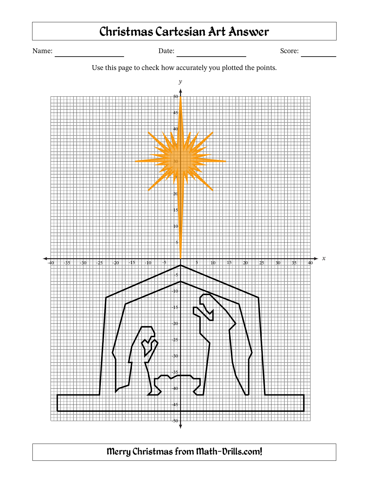# Christmas Cartesian Art Answer

Name: Date: Date: Date: Score: Score: Next Score: Name: Score: Name: Score: Name: Score: Name: Score: Name: Name: Name: Name: Name: Name: Name: Name: Name: Name: Name: Name: Name: Name: Name: Name: Name: Name: Name: Name:





### Merry Christmas from Math‐Drills.com!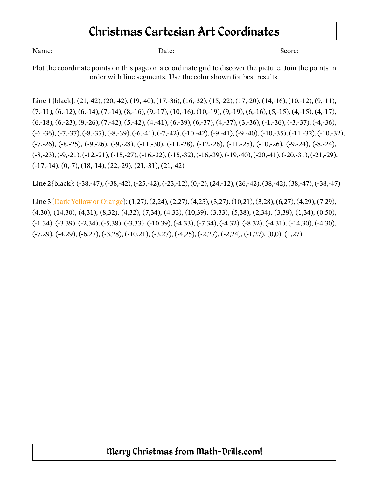## Christmas Cartesian Art Coordinates

| Name:<br>Date: | Score: |
|----------------|--------|
|----------------|--------|

Plot the coordinate points on this page on a coordinate grid to discover the picture. Join the points in order with line segments. Use the color shown for best results.

Line 1 {black}: (21,-42), (20,-42), (19,-40), (17,-36), (16,-32), (15,-22), (17,-20), (14,-16), (10,-12), (9,-11),  $(7,-11)$ ,  $(6,-12)$ ,  $(6,-14)$ ,  $(7,-14)$ ,  $(8,-16)$ ,  $(9,-17)$ ,  $(10,-16)$ ,  $(10,-19)$ ,  $(9,-19)$ ,  $(6,-16)$ ,  $(5,-15)$ ,  $(4,-15)$ ,  $(4,-17)$ ,  $(6,18)$ ,  $(6,23)$ ,  $(9,26)$ ,  $(7,42)$ ,  $(5,42)$ ,  $(4,41)$ ,  $(6,39)$ ,  $(6,37)$ ,  $(4,37)$ ,  $(3,36)$ ,  $(-1,36)$ ,  $(-3,37)$ ,  $(-4,36)$ ,  $(-6,-36), (-7,-37), (-8,-37), (-8,-39), (-6,-41), (-7,-42), (-10,-42), (-9,-41), (-9,-40), (-10,-35), (-11,-32), (-10,-32),$ (-7,-26), (-8,-25), (-9,-26), (-9,-28), (-11,-30), (-11,-28), (-12,-26), (-11,-25), (-10,-26), (-9,-24), (-8,-24),  $(-8,-23), (-9,-21), (-12,-21), (-15,-27), (-16,-32), (-15,-32), (-16,-39), (-19,-40), (-20,-41), (-20,-31), (-21,-29),$  $(17,-14)$ ,  $(0,-7)$ ,  $(18,-14)$ ,  $(22,-29)$ ,  $(21,-31)$ ,  $(21,-42)$ 

Line 2 {black}: (-38,-47), (-38,-42), (-25,-42), (-23,-12), (0,-2), (24,-12), (26,-42), (38,-42), (38,-47), (-38,-47)

Line 3 {Dark Yellow or Orange}: (1,27), (2,24), (2,27), (4,25), (3,27), (10,21), (3,28), (6,27), (4,29), (7,29), (4,30), (14,30), (4,31), (8,32), (4,32), (7,34), (4,33), (10,39), (3,33), (5,38), (2,34), (3,39), (1,34), (0,50),  $(-1,34)$ ,  $(-3,39)$ ,  $(-2,34)$ ,  $(-5,38)$ ,  $(-3,33)$ ,  $(-10,39)$ ,  $(-4,33)$ ,  $(-7,34)$ ,  $(-4,32)$ ,  $(-8,32)$ ,  $(-4,31)$ ,  $(-14,30)$ ,  $(-4,30)$ , (-7,29), (-4,29), (-6,27), (-3,28), (-10,21), (-3,27), (-4,25), (-2,27), (-2,24), (-1,27), (0,0), (1,27)